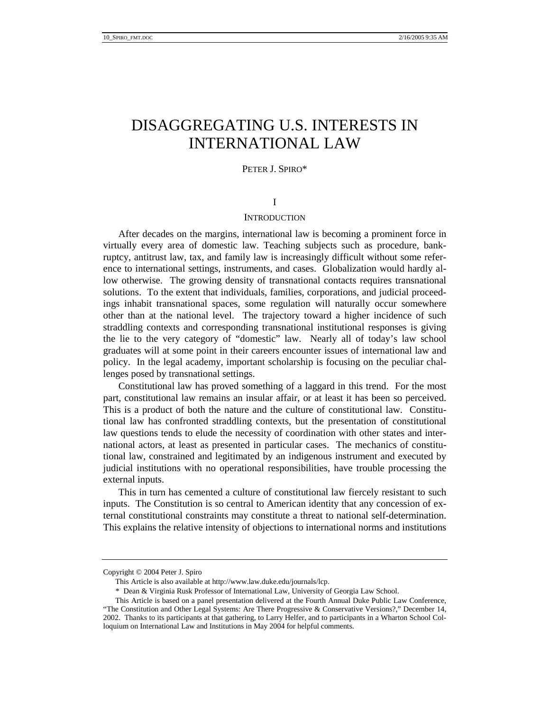# DISAGGREGATING U.S. INTERESTS IN INTERNATIONAL LAW

PETER J. SPIRO\*

## I

#### **INTRODUCTION**

After decades on the margins, international law is becoming a prominent force in virtually every area of domestic law. Teaching subjects such as procedure, bankruptcy, antitrust law, tax, and family law is increasingly difficult without some reference to international settings, instruments, and cases. Globalization would hardly allow otherwise. The growing density of transnational contacts requires transnational solutions. To the extent that individuals, families, corporations, and judicial proceedings inhabit transnational spaces, some regulation will naturally occur somewhere other than at the national level. The trajectory toward a higher incidence of such straddling contexts and corresponding transnational institutional responses is giving the lie to the very category of "domestic" law. Nearly all of today's law school graduates will at some point in their careers encounter issues of international law and policy. In the legal academy, important scholarship is focusing on the peculiar challenges posed by transnational settings.

Constitutional law has proved something of a laggard in this trend. For the most part, constitutional law remains an insular affair, or at least it has been so perceived. This is a product of both the nature and the culture of constitutional law. Constitutional law has confronted straddling contexts, but the presentation of constitutional law questions tends to elude the necessity of coordination with other states and international actors, at least as presented in particular cases. The mechanics of constitutional law, constrained and legitimated by an indigenous instrument and executed by judicial institutions with no operational responsibilities, have trouble processing the external inputs.

This in turn has cemented a culture of constitutional law fiercely resistant to such inputs. The Constitution is so central to American identity that any concession of external constitutional constraints may constitute a threat to national self-determination. This explains the relative intensity of objections to international norms and institutions

Copyright © 2004 Peter J. Spiro

This Article is also available at http://www.law.duke.edu/journals/lcp.

 <sup>\*</sup> Dean & Virginia Rusk Professor of International Law, University of Georgia Law School.

This Article is based on a panel presentation delivered at the Fourth Annual Duke Public Law Conference, "The Constitution and Other Legal Systems: Are There Progressive & Conservative Versions?," December 14, 2002. Thanks to its participants at that gathering, to Larry Helfer, and to participants in a Wharton School Colloquium on International Law and Institutions in May 2004 for helpful comments.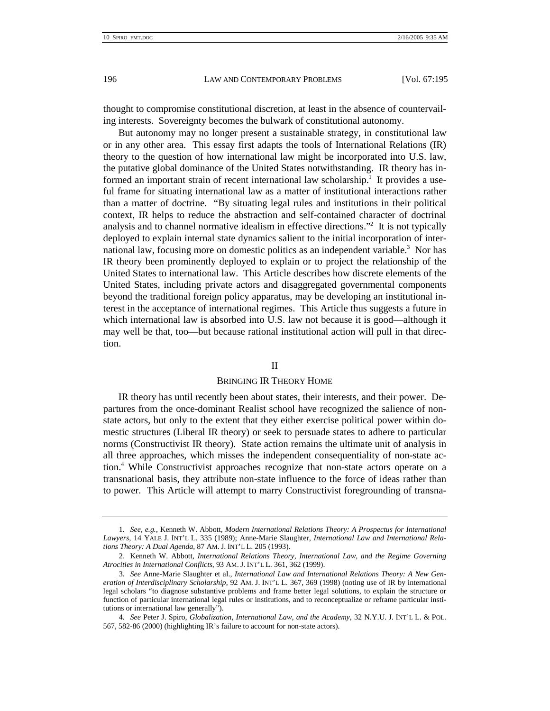thought to compromise constitutional discretion, at least in the absence of countervailing interests. Sovereignty becomes the bulwark of constitutional autonomy.

But autonomy may no longer present a sustainable strategy, in constitutional law or in any other area. This essay first adapts the tools of International Relations (IR) theory to the question of how international law might be incorporated into U.S. law, the putative global dominance of the United States notwithstanding. IR theory has informed an important strain of recent international law scholarship.<sup>1</sup> It provides a useful frame for situating international law as a matter of institutional interactions rather than a matter of doctrine. "By situating legal rules and institutions in their political context, IR helps to reduce the abstraction and self-contained character of doctrinal analysis and to channel normative idealism in effective directions."<sup>2</sup> It is not typically deployed to explain internal state dynamics salient to the initial incorporation of international law, focusing more on domestic politics as an independent variable.<sup>3</sup> Nor has IR theory been prominently deployed to explain or to project the relationship of the United States to international law. This Article describes how discrete elements of the United States, including private actors and disaggregated governmental components beyond the traditional foreign policy apparatus, may be developing an institutional interest in the acceptance of international regimes. This Article thus suggests a future in which international law is absorbed into U.S. law not because it is good—although it may well be that, too—but because rational institutional action will pull in that direction.

## II

# BRINGING IR THEORY HOME

IR theory has until recently been about states, their interests, and their power. Departures from the once-dominant Realist school have recognized the salience of nonstate actors, but only to the extent that they either exercise political power within domestic structures (Liberal IR theory) or seek to persuade states to adhere to particular norms (Constructivist IR theory). State action remains the ultimate unit of analysis in all three approaches, which misses the independent consequentiality of non-state action.4 While Constructivist approaches recognize that non-state actors operate on a transnational basis, they attribute non-state influence to the force of ideas rather than to power. This Article will attempt to marry Constructivist foregrounding of transna-

<sup>1</sup>*. See, e.g.*, Kenneth W. Abbott, *Modern International Relations Theory: A Prospectus for International Lawyers*, 14 YALE J. INT'L L. 335 (1989); Anne-Marie Slaughter, *International Law and International Relations Theory: A Dual Agenda*, 87 AM. J. INT'L L. 205 (1993).

 <sup>2.</sup> Kenneth W. Abbott, *International Relations Theory, International Law, and the Regime Governing Atrocities in International Conflicts*, 93 AM. J. INT'L L. 361, 362 (1999).

<sup>3</sup>*. See* Anne-Marie Slaughter et al., *International Law and International Relations Theory: A New Generation of Interdisciplinary Scholarship*, 92 AM. J. INT'L L. 367, 369 (1998) (noting use of IR by international legal scholars "to diagnose substantive problems and frame better legal solutions, to explain the structure or function of particular international legal rules or institutions, and to reconceptualize or reframe particular institutions or international law generally").

<sup>4</sup>*. See* Peter J. Spiro, *Globalization, International Law, and the Academy*, 32 N.Y.U. J. INT'L L. & POL. 567, 582-86 (2000) (highlighting IR's failure to account for non-state actors).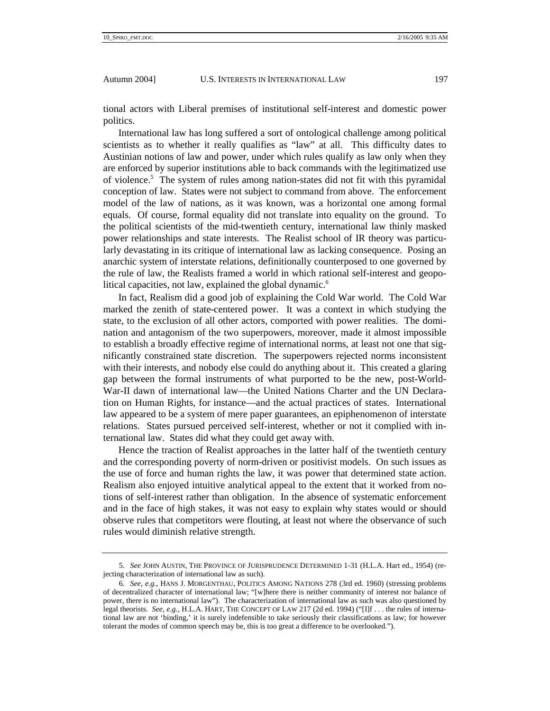tional actors with Liberal premises of institutional self-interest and domestic power politics.

International law has long suffered a sort of ontological challenge among political scientists as to whether it really qualifies as "law" at all. This difficulty dates to Austinian notions of law and power, under which rules qualify as law only when they are enforced by superior institutions able to back commands with the legitimatized use of violence.<sup>5</sup> The system of rules among nation-states did not fit with this pyramidal conception of law. States were not subject to command from above. The enforcement model of the law of nations, as it was known, was a horizontal one among formal equals. Of course, formal equality did not translate into equality on the ground. To the political scientists of the mid-twentieth century, international law thinly masked power relationships and state interests. The Realist school of IR theory was particularly devastating in its critique of international law as lacking consequence. Posing an anarchic system of interstate relations, definitionally counterposed to one governed by the rule of law, the Realists framed a world in which rational self-interest and geopolitical capacities, not law, explained the global dynamic.<sup>6</sup>

In fact, Realism did a good job of explaining the Cold War world. The Cold War marked the zenith of state-centered power. It was a context in which studying the state, to the exclusion of all other actors, comported with power realities. The domination and antagonism of the two superpowers, moreover, made it almost impossible to establish a broadly effective regime of international norms, at least not one that significantly constrained state discretion. The superpowers rejected norms inconsistent with their interests, and nobody else could do anything about it. This created a glaring gap between the formal instruments of what purported to be the new, post-World-War-II dawn of international law—the United Nations Charter and the UN Declaration on Human Rights, for instance—and the actual practices of states. International law appeared to be a system of mere paper guarantees, an epiphenomenon of interstate relations. States pursued perceived self-interest, whether or not it complied with international law. States did what they could get away with.

Hence the traction of Realist approaches in the latter half of the twentieth century and the corresponding poverty of norm-driven or positivist models. On such issues as the use of force and human rights the law, it was power that determined state action. Realism also enjoyed intuitive analytical appeal to the extent that it worked from notions of self-interest rather than obligation. In the absence of systematic enforcement and in the face of high stakes, it was not easy to explain why states would or should observe rules that competitors were flouting, at least not where the observance of such rules would diminish relative strength.

<sup>5</sup>*. See* JOHN AUSTIN, THE PROVINCE OF JURISPRUDENCE DETERMINED 1-31 (H.L.A. Hart ed., 1954) (rejecting characterization of international law as such).

<sup>6</sup>*. See, e.g.*, HANS J. MORGENTHAU, POLITICS AMONG NATIONS 278 (3rd ed. 1960) (stressing problems of decentralized character of international law; "[w]here there is neither community of interest nor balance of power, there is no international law"). The characterization of international law as such was also questioned by legal theorists. *See, e.g.*, H.L.A. HART, THE CONCEPT OF LAW 217 (2d ed. 1994) ("[I]f . . . the rules of international law are not 'binding,' it is surely indefensible to take seriously their classifications as law; for however tolerant the modes of common speech may be, this is too great a difference to be overlooked.").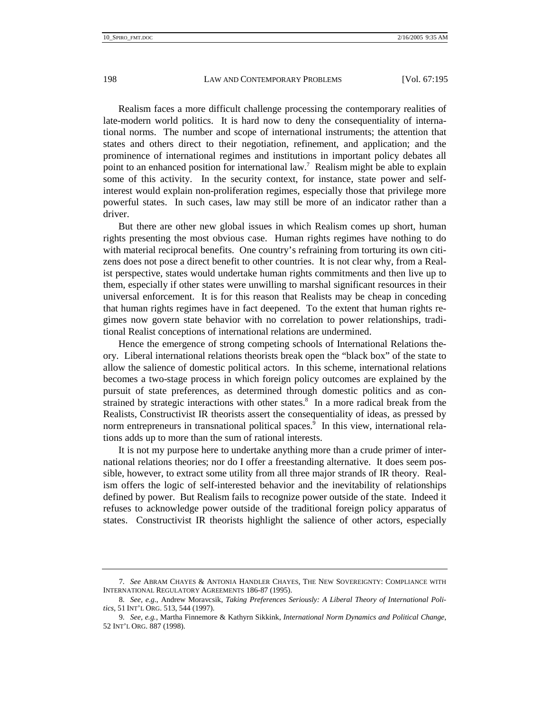Realism faces a more difficult challenge processing the contemporary realities of late-modern world politics. It is hard now to deny the consequentiality of international norms. The number and scope of international instruments; the attention that states and others direct to their negotiation, refinement, and application; and the prominence of international regimes and institutions in important policy debates all point to an enhanced position for international law.<sup>7</sup> Realism might be able to explain some of this activity. In the security context, for instance, state power and selfinterest would explain non-proliferation regimes, especially those that privilege more powerful states. In such cases, law may still be more of an indicator rather than a driver.

But there are other new global issues in which Realism comes up short, human rights presenting the most obvious case. Human rights regimes have nothing to do with material reciprocal benefits. One country's refraining from torturing its own citizens does not pose a direct benefit to other countries. It is not clear why, from a Realist perspective, states would undertake human rights commitments and then live up to them, especially if other states were unwilling to marshal significant resources in their universal enforcement. It is for this reason that Realists may be cheap in conceding that human rights regimes have in fact deepened. To the extent that human rights regimes now govern state behavior with no correlation to power relationships, traditional Realist conceptions of international relations are undermined.

Hence the emergence of strong competing schools of International Relations theory. Liberal international relations theorists break open the "black box" of the state to allow the salience of domestic political actors. In this scheme, international relations becomes a two-stage process in which foreign policy outcomes are explained by the pursuit of state preferences, as determined through domestic politics and as constrained by strategic interactions with other states. $8\text{ In a more radical break from the }$ Realists, Constructivist IR theorists assert the consequentiality of ideas, as pressed by norm entrepreneurs in transnational political spaces.<sup>9</sup> In this view, international relations adds up to more than the sum of rational interests.

It is not my purpose here to undertake anything more than a crude primer of international relations theories; nor do I offer a freestanding alternative. It does seem possible, however, to extract some utility from all three major strands of IR theory. Realism offers the logic of self-interested behavior and the inevitability of relationships defined by power. But Realism fails to recognize power outside of the state. Indeed it refuses to acknowledge power outside of the traditional foreign policy apparatus of states. Constructivist IR theorists highlight the salience of other actors, especially

<sup>7</sup>*. See* ABRAM CHAYES & ANTONIA HANDLER CHAYES, THE NEW SOVEREIGNTY: COMPLIANCE WITH INTERNATIONAL REGULATORY AGREEMENTS 186-87 (1995).

<sup>8</sup>*. See, e.g.*, Andrew Moravcsik, *Taking Preferences Seriously: A Liberal Theory of International Politics*, 51 INT'L ORG. 513, 544 (1997).

<sup>9</sup>*. See, e.g.*, Martha Finnemore & Kathyrn Sikkink, *International Norm Dynamics and Political Change*, 52 INT'L ORG. 887 (1998).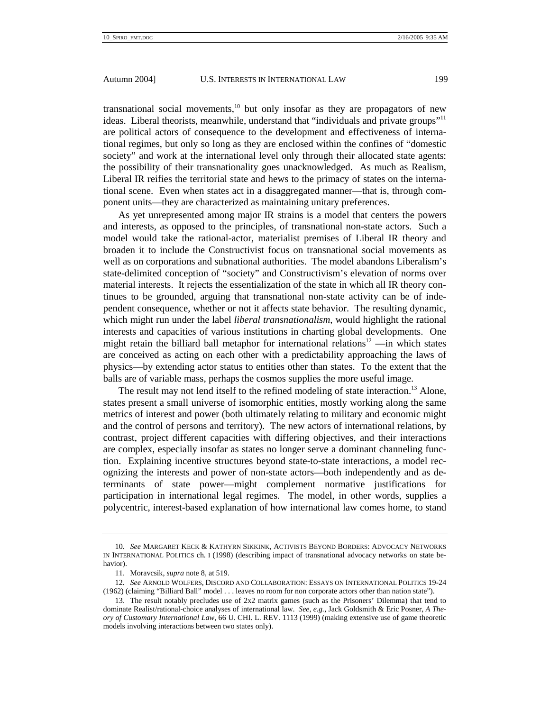transnational social movements, $10$  but only insofar as they are propagators of new ideas. Liberal theorists, meanwhile, understand that "individuals and private groups"11 are political actors of consequence to the development and effectiveness of international regimes, but only so long as they are enclosed within the confines of "domestic society" and work at the international level only through their allocated state agents: the possibility of their transnationality goes unacknowledged. As much as Realism, Liberal IR reifies the territorial state and hews to the primacy of states on the international scene. Even when states act in a disaggregated manner—that is, through component units—they are characterized as maintaining unitary preferences.

As yet unrepresented among major IR strains is a model that centers the powers and interests, as opposed to the principles, of transnational non-state actors. Such a model would take the rational-actor, materialist premises of Liberal IR theory and broaden it to include the Constructivist focus on transnational social movements as well as on corporations and subnational authorities. The model abandons Liberalism's state-delimited conception of "society" and Constructivism's elevation of norms over material interests. It rejects the essentialization of the state in which all IR theory continues to be grounded, arguing that transnational non-state activity can be of independent consequence, whether or not it affects state behavior. The resulting dynamic, which might run under the label *liberal transnationalism*, would highlight the rational interests and capacities of various institutions in charting global developments. One might retain the billiard ball metaphor for international relations<sup>12</sup> —in which states are conceived as acting on each other with a predictability approaching the laws of physics—by extending actor status to entities other than states. To the extent that the balls are of variable mass, perhaps the cosmos supplies the more useful image.

The result may not lend itself to the refined modeling of state interaction.<sup>13</sup> Alone, states present a small universe of isomorphic entities, mostly working along the same metrics of interest and power (both ultimately relating to military and economic might and the control of persons and territory). The new actors of international relations, by contrast, project different capacities with differing objectives, and their interactions are complex, especially insofar as states no longer serve a dominant channeling function. Explaining incentive structures beyond state-to-state interactions, a model recognizing the interests and power of non-state actors—both independently and as determinants of state power—might complement normative justifications for participation in international legal regimes. The model, in other words, supplies a polycentric, interest-based explanation of how international law comes home, to stand

<sup>10</sup>*. See* MARGARET KECK & KATHYRN SIKKINK, ACTIVISTS BEYOND BORDERS: ADVOCACY NETWORKS IN INTERNATIONAL POLITICS ch. I (1998) (describing impact of transnational advocacy networks on state behavior).

 <sup>11.</sup> Moravcsik, *supra* note 8, at 519.

<sup>12</sup>*. See* ARNOLD WOLFERS, DISCORD AND COLLABORATION: ESSAYS ON INTERNATIONAL POLITICS 19-24 (1962) (claiming "Billiard Ball" model . . . leaves no room for non corporate actors other than nation state").

 <sup>13.</sup> The result notably precludes use of 2x2 matrix games (such as the Prisoners' Dilemma) that tend to dominate Realist/rational-choice analyses of international law. *See, e.g.*, Jack Goldsmith & Eric Posner, *A Theory of Customary International Law*, 66 U. CHI. L. REV. 1113 (1999) (making extensive use of game theoretic models involving interactions between two states only).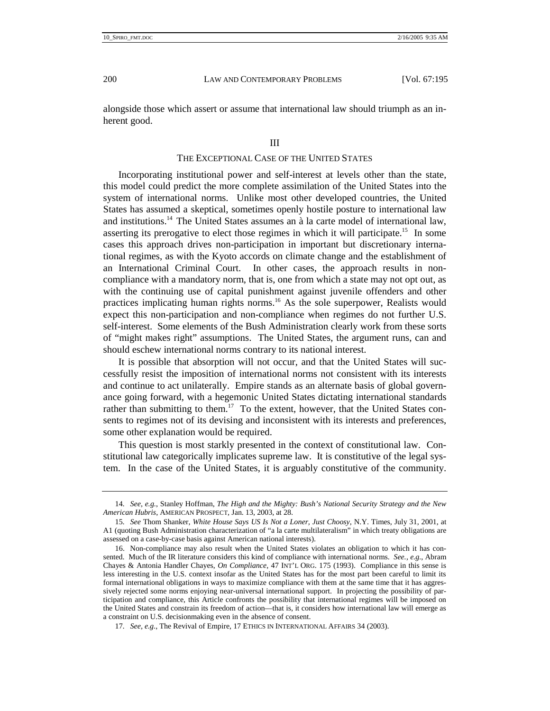alongside those which assert or assume that international law should triumph as an inherent good.

#### III

#### THE EXCEPTIONAL CASE OF THE UNITED STATES

Incorporating institutional power and self-interest at levels other than the state, this model could predict the more complete assimilation of the United States into the system of international norms. Unlike most other developed countries, the United States has assumed a skeptical, sometimes openly hostile posture to international law and institutions.14 The United States assumes an à la carte model of international law, asserting its prerogative to elect those regimes in which it will participate.15 In some cases this approach drives non-participation in important but discretionary international regimes, as with the Kyoto accords on climate change and the establishment of an International Criminal Court. In other cases, the approach results in noncompliance with a mandatory norm, that is, one from which a state may not opt out, as with the continuing use of capital punishment against juvenile offenders and other practices implicating human rights norms.16 As the sole superpower, Realists would expect this non-participation and non-compliance when regimes do not further U.S. self-interest. Some elements of the Bush Administration clearly work from these sorts of "might makes right" assumptions. The United States, the argument runs, can and should eschew international norms contrary to its national interest.

It is possible that absorption will not occur, and that the United States will successfully resist the imposition of international norms not consistent with its interests and continue to act unilaterally. Empire stands as an alternate basis of global governance going forward, with a hegemonic United States dictating international standards rather than submitting to them.<sup>17</sup> To the extent, however, that the United States consents to regimes not of its devising and inconsistent with its interests and preferences, some other explanation would be required.

This question is most starkly presented in the context of constitutional law. Constitutional law categorically implicates supreme law. It is constitutive of the legal system. In the case of the United States, it is arguably constitutive of the community.

<sup>14</sup>*. See, e.g.*, Stanley Hoffman, *The High and the Mighty: Bush's National Security Strategy and the New American Hubris*, AMERICAN PROSPECT, Jan. 13, 2003, at 28.

<sup>15</sup>*. See* Thom Shanker, *White House Says US Is Not a Loner, Just Choosy*, N.Y. Times, July 31, 2001, at A1 (quoting Bush Administration characterization of "a la carte multilateralism" in which treaty obligations are assessed on a case-by-case basis against American national interests).

 <sup>16.</sup> Non-compliance may also result when the United States violates an obligation to which it has consented. Much of the IR literature considers this kind of compliance with international norms. *See., e.g.*, Abram Chayes & Antonia Handler Chayes, *On Compliance*, 47 INT'L ORG. 175 (1993). Compliance in this sense is less interesting in the U.S. context insofar as the United States has for the most part been careful to limit its formal international obligations in ways to maximize compliance with them at the same time that it has aggressively rejected some norms enjoying near-universal international support. In projecting the possibility of participation and compliance, this Article confronts the possibility that international regimes will be imposed on the United States and constrain its freedom of action—that is, it considers how international law will emerge as a constraint on U.S. decisionmaking even in the absence of consent.

<sup>17</sup>*. See, e.g.*, The Revival of Empire, 17 ETHICS IN INTERNATIONAL AFFAIRS 34 (2003).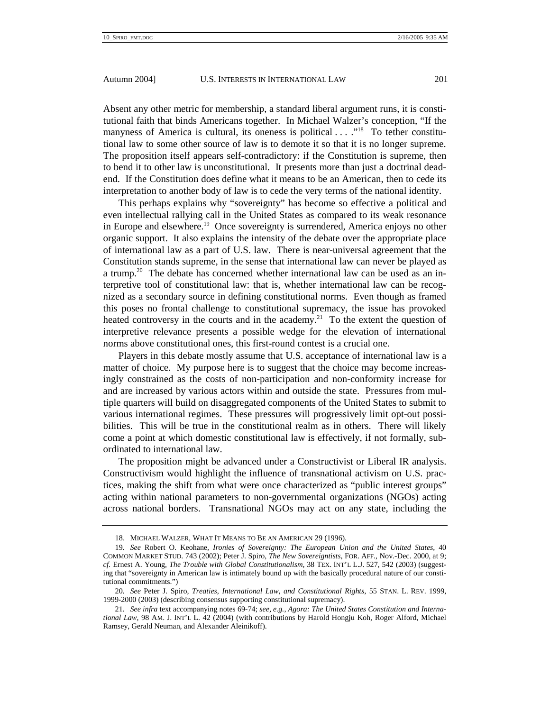Absent any other metric for membership, a standard liberal argument runs, it is constitutional faith that binds Americans together. In Michael Walzer's conception, "If the manyness of America is cultural, its oneness is political . . . .<sup>18</sup> To tether constitutional law to some other source of law is to demote it so that it is no longer supreme. The proposition itself appears self-contradictory: if the Constitution is supreme, then to bend it to other law is unconstitutional. It presents more than just a doctrinal deadend. If the Constitution does define what it means to be an American, then to cede its interpretation to another body of law is to cede the very terms of the national identity.

This perhaps explains why "sovereignty" has become so effective a political and even intellectual rallying call in the United States as compared to its weak resonance in Europe and elsewhere.<sup>19</sup> Once sovereignty is surrendered, America enjoys no other organic support. It also explains the intensity of the debate over the appropriate place of international law as a part of U.S. law. There is near-universal agreement that the Constitution stands supreme, in the sense that international law can never be played as a trump.<sup>20</sup> The debate has concerned whether international law can be used as an interpretive tool of constitutional law: that is, whether international law can be recognized as a secondary source in defining constitutional norms. Even though as framed this poses no frontal challenge to constitutional supremacy, the issue has provoked heated controversy in the courts and in the academy.<sup>21</sup> To the extent the question of interpretive relevance presents a possible wedge for the elevation of international norms above constitutional ones, this first-round contest is a crucial one.

Players in this debate mostly assume that U.S. acceptance of international law is a matter of choice. My purpose here is to suggest that the choice may become increasingly constrained as the costs of non-participation and non-conformity increase for and are increased by various actors within and outside the state. Pressures from multiple quarters will build on disaggregated components of the United States to submit to various international regimes. These pressures will progressively limit opt-out possibilities. This will be true in the constitutional realm as in others. There will likely come a point at which domestic constitutional law is effectively, if not formally, subordinated to international law.

The proposition might be advanced under a Constructivist or Liberal IR analysis. Constructivism would highlight the influence of transnational activism on U.S. practices, making the shift from what were once characterized as "public interest groups" acting within national parameters to non-governmental organizations (NGOs) acting across national borders. Transnational NGOs may act on any state, including the

 <sup>18.</sup> MICHAEL WALZER, WHAT IT MEANS TO BE AN AMERICAN 29 (1996).

<sup>19</sup>*. See* Robert O. Keohane, *Ironies of Sovereignty: The European Union and the United States*, 40 COMMON MARKET STUD. 743 (2002); Peter J. Spiro*, The New Sovereigntists*, FOR. AFF., Nov.-Dec. 2000, at 9; *cf.* Ernest A. Young, *The Trouble with Global Constitutionalism*, 38 TEX. INT'L L.J. 527, 542 (2003) (suggesting that "sovereignty in American law is intimately bound up with the basically procedural nature of our constitutional commitments.")

<sup>20</sup>*. See* Peter J. Spiro, *Treaties, International Law, and Constitutional Rights*, 55 STAN. L. REV. 1999, 1999-2000 (2003) (describing consensus supporting constitutional supremacy).

<sup>21</sup>*. See infra* text accompanying notes 69-74; *see, e.g.*, *Agora: The United States Constitution and International Law*, 98 AM. J. INT'L L. 42 (2004) (with contributions by Harold Hongju Koh, Roger Alford, Michael Ramsey, Gerald Neuman, and Alexander Aleinikoff).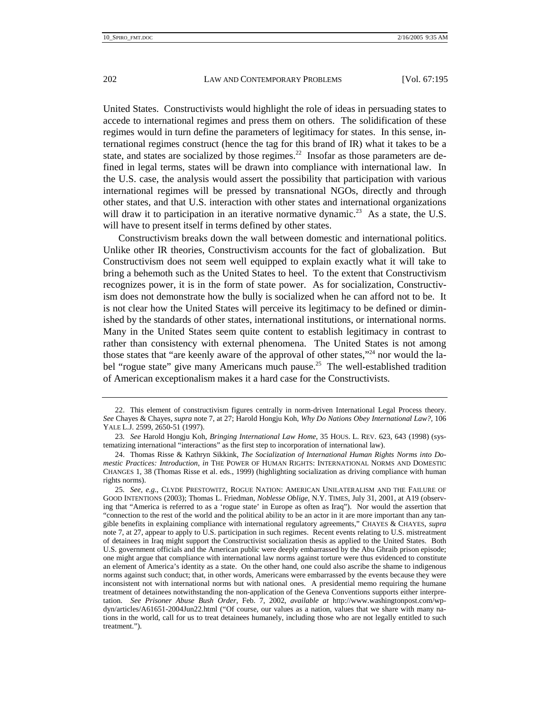United States. Constructivists would highlight the role of ideas in persuading states to accede to international regimes and press them on others. The solidification of these regimes would in turn define the parameters of legitimacy for states. In this sense, international regimes construct (hence the tag for this brand of IR) what it takes to be a state, and states are socialized by those regimes.<sup>22</sup> Insofar as those parameters are defined in legal terms, states will be drawn into compliance with international law. In the U.S. case, the analysis would assert the possibility that participation with various international regimes will be pressed by transnational NGOs, directly and through other states, and that U.S. interaction with other states and international organizations will draw it to participation in an iterative normative dynamic.<sup>23</sup> As a state, the U.S. will have to present itself in terms defined by other states.

Constructivism breaks down the wall between domestic and international politics. Unlike other IR theories, Constructivism accounts for the fact of globalization. But Constructivism does not seem well equipped to explain exactly what it will take to bring a behemoth such as the United States to heel. To the extent that Constructivism recognizes power, it is in the form of state power. As for socialization, Constructivism does not demonstrate how the bully is socialized when he can afford not to be. It is not clear how the United States will perceive its legitimacy to be defined or diminished by the standards of other states, international institutions, or international norms. Many in the United States seem quite content to establish legitimacy in contrast to rather than consistency with external phenomena. The United States is not among those states that "are keenly aware of the approval of other states,"24 nor would the label "rogue state" give many Americans much pause.<sup>25</sup> The well-established tradition of American exceptionalism makes it a hard case for the Constructivists.

 <sup>22.</sup> This element of constructivism figures centrally in norm-driven International Legal Process theory. *See* Chayes & Chayes, *supra* note 7, at 27; Harold Hongju Koh, *Why Do Nations Obey International Law?*, 106 YALE L.J. 2599, 2650-51 (1997).

<sup>23</sup>*. See* Harold Hongju Koh, *Bringing International Law Home*, 35 HOUS. L. REV. 623, 643 (1998) (systematizing international "interactions" as the first step to incorporation of international law).

 <sup>24.</sup> Thomas Risse & Kathryn Sikkink, *The Socialization of International Human Rights Norms into Domestic Practices: Introduction*, *in* THE POWER OF HUMAN RIGHTS: INTERNATIONAL NORMS AND DOMESTIC CHANGES 1, 38 (Thomas Risse et al. eds., 1999) (highlighting socialization as driving compliance with human rights norms).

<sup>25</sup>*. See, e.g.*, CLYDE PRESTOWITZ, ROGUE NATION: AMERICAN UNILATERALISM AND THE FAILURE OF GOOD INTENTIONS (2003); Thomas L. Friedman, *Noblesse Oblige*, N.Y. TIMES, July 31, 2001, at A19 (observing that "America is referred to as a 'rogue state' in Europe as often as Iraq"). Nor would the assertion that "connection to the rest of the world and the political ability to be an actor in it are more important than any tangible benefits in explaining compliance with international regulatory agreements," CHAYES & CHAYES, *supra* note 7, at 27, appear to apply to U.S. participation in such regimes. Recent events relating to U.S. mistreatment of detainees in Iraq might support the Constructivist socialization thesis as applied to the United States. Both U.S. government officials and the American public were deeply embarrassed by the Abu Ghraib prison episode; one might argue that compliance with international law norms against torture were thus evidenced to constitute an element of America's identity as a state. On the other hand, one could also ascribe the shame to indigenous norms against such conduct; that, in other words, Americans were embarrassed by the events because they were inconsistent not with international norms but with national ones. A presidential memo requiring the humane treatment of detainees notwithstanding the non-application of the Geneva Conventions supports either interpretation. *See Prisoner Abuse Bush Order*, Feb. 7, 2002, *available at* http://www.washingtonpost.com/wpdyn/articles/A61651-2004Jun22.html ("Of course, our values as a nation, values that we share with many nations in the world, call for us to treat detainees humanely, including those who are not legally entitled to such treatment.").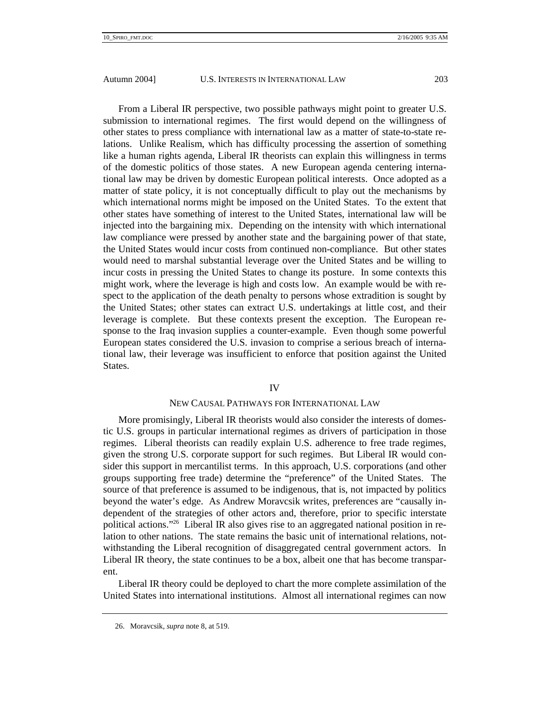From a Liberal IR perspective, two possible pathways might point to greater U.S. submission to international regimes. The first would depend on the willingness of other states to press compliance with international law as a matter of state-to-state relations. Unlike Realism, which has difficulty processing the assertion of something like a human rights agenda, Liberal IR theorists can explain this willingness in terms of the domestic politics of those states. A new European agenda centering international law may be driven by domestic European political interests. Once adopted as a matter of state policy, it is not conceptually difficult to play out the mechanisms by which international norms might be imposed on the United States. To the extent that other states have something of interest to the United States, international law will be injected into the bargaining mix. Depending on the intensity with which international law compliance were pressed by another state and the bargaining power of that state, the United States would incur costs from continued non-compliance. But other states would need to marshal substantial leverage over the United States and be willing to incur costs in pressing the United States to change its posture. In some contexts this might work, where the leverage is high and costs low. An example would be with respect to the application of the death penalty to persons whose extradition is sought by the United States; other states can extract U.S. undertakings at little cost, and their leverage is complete. But these contexts present the exception. The European response to the Iraq invasion supplies a counter-example. Even though some powerful European states considered the U.S. invasion to comprise a serious breach of international law, their leverage was insufficient to enforce that position against the United States.

## IV

#### NEW CAUSAL PATHWAYS FOR INTERNATIONAL LAW

More promisingly, Liberal IR theorists would also consider the interests of domestic U.S. groups in particular international regimes as drivers of participation in those regimes. Liberal theorists can readily explain U.S. adherence to free trade regimes, given the strong U.S. corporate support for such regimes. But Liberal IR would consider this support in mercantilist terms. In this approach, U.S. corporations (and other groups supporting free trade) determine the "preference" of the United States. The source of that preference is assumed to be indigenous, that is, not impacted by politics beyond the water's edge. As Andrew Moravcsik writes, preferences are "causally independent of the strategies of other actors and, therefore, prior to specific interstate political actions."<sup>26</sup> Liberal IR also gives rise to an aggregated national position in relation to other nations. The state remains the basic unit of international relations, notwithstanding the Liberal recognition of disaggregated central government actors. In Liberal IR theory, the state continues to be a box, albeit one that has become transparent.

Liberal IR theory could be deployed to chart the more complete assimilation of the United States into international institutions. Almost all international regimes can now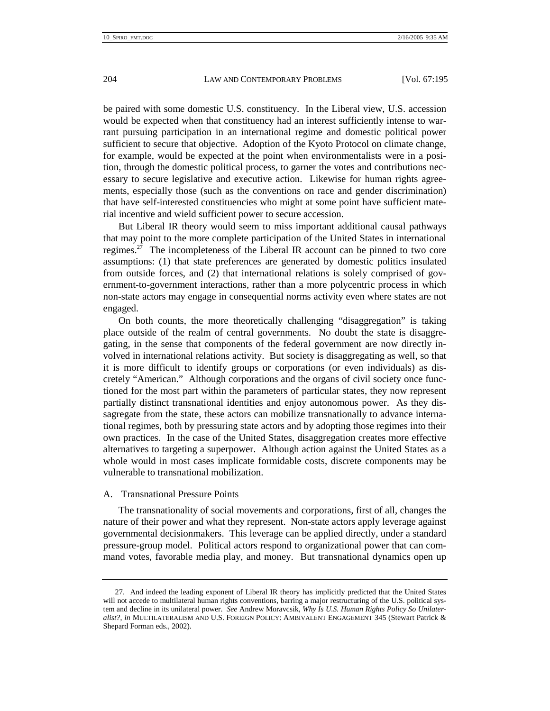be paired with some domestic U.S. constituency. In the Liberal view, U.S. accession would be expected when that constituency had an interest sufficiently intense to warrant pursuing participation in an international regime and domestic political power sufficient to secure that objective. Adoption of the Kyoto Protocol on climate change, for example, would be expected at the point when environmentalists were in a position, through the domestic political process, to garner the votes and contributions necessary to secure legislative and executive action. Likewise for human rights agreements, especially those (such as the conventions on race and gender discrimination) that have self-interested constituencies who might at some point have sufficient material incentive and wield sufficient power to secure accession.

But Liberal IR theory would seem to miss important additional causal pathways that may point to the more complete participation of the United States in international regimes.<sup>27</sup> The incompleteness of the Liberal IR account can be pinned to two core assumptions: (1) that state preferences are generated by domestic politics insulated from outside forces, and (2) that international relations is solely comprised of government-to-government interactions, rather than a more polycentric process in which non-state actors may engage in consequential norms activity even where states are not engaged.

On both counts, the more theoretically challenging "disaggregation" is taking place outside of the realm of central governments. No doubt the state is disaggregating, in the sense that components of the federal government are now directly involved in international relations activity. But society is disaggregating as well, so that it is more difficult to identify groups or corporations (or even individuals) as discretely "American." Although corporations and the organs of civil society once functioned for the most part within the parameters of particular states, they now represent partially distinct transnational identities and enjoy autonomous power. As they dissagregate from the state, these actors can mobilize transnationally to advance international regimes, both by pressuring state actors and by adopting those regimes into their own practices. In the case of the United States, disaggregation creates more effective alternatives to targeting a superpower. Although action against the United States as a whole would in most cases implicate formidable costs, discrete components may be vulnerable to transnational mobilization.

#### A. Transnational Pressure Points

The transnationality of social movements and corporations, first of all, changes the nature of their power and what they represent. Non-state actors apply leverage against governmental decisionmakers. This leverage can be applied directly, under a standard pressure-group model. Political actors respond to organizational power that can command votes, favorable media play, and money. But transnational dynamics open up

 <sup>27.</sup> And indeed the leading exponent of Liberal IR theory has implicitly predicted that the United States will not accede to multilateral human rights conventions, barring a major restructuring of the U.S. political system and decline in its unilateral power. *See* Andrew Moravcsik, *Why Is U.S. Human Rights Policy So Unilateralist?*, *in* MULTILATERALISM AND U.S. FOREIGN POLICY: AMBIVALENT ENGAGEMENT 345 (Stewart Patrick & Shepard Forman eds., 2002).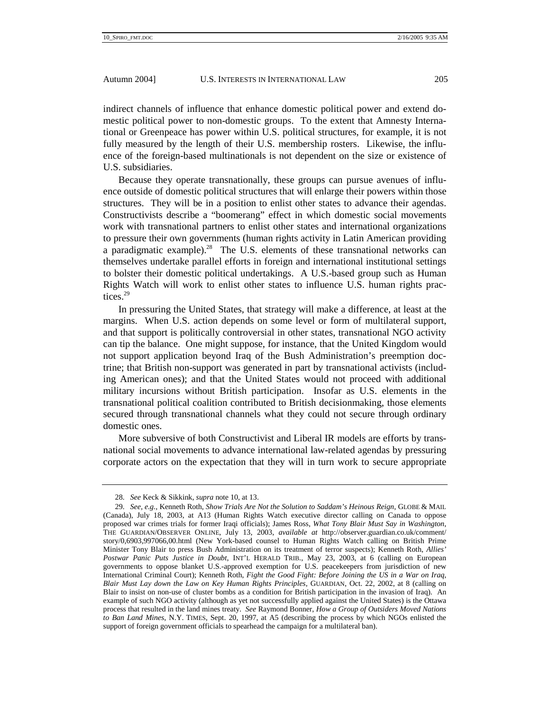indirect channels of influence that enhance domestic political power and extend domestic political power to non-domestic groups. To the extent that Amnesty International or Greenpeace has power within U.S. political structures, for example, it is not fully measured by the length of their U.S. membership rosters. Likewise, the influence of the foreign-based multinationals is not dependent on the size or existence of U.S. subsidiaries.

Because they operate transnationally, these groups can pursue avenues of influence outside of domestic political structures that will enlarge their powers within those structures. They will be in a position to enlist other states to advance their agendas. Constructivists describe a "boomerang" effect in which domestic social movements work with transnational partners to enlist other states and international organizations to pressure their own governments (human rights activity in Latin American providing a paradigmatic example).<sup>28</sup> The U.S. elements of these transnational networks can themselves undertake parallel efforts in foreign and international institutional settings to bolster their domestic political undertakings. A U.S.-based group such as Human Rights Watch will work to enlist other states to influence U.S. human rights practices.<sup>29</sup>

In pressuring the United States, that strategy will make a difference, at least at the margins. When U.S. action depends on some level or form of multilateral support, and that support is politically controversial in other states, transnational NGO activity can tip the balance. One might suppose, for instance, that the United Kingdom would not support application beyond Iraq of the Bush Administration's preemption doctrine; that British non-support was generated in part by transnational activists (including American ones); and that the United States would not proceed with additional military incursions without British participation. Insofar as U.S. elements in the transnational political coalition contributed to British decisionmaking, those elements secured through transnational channels what they could not secure through ordinary domestic ones.

More subversive of both Constructivist and Liberal IR models are efforts by transnational social movements to advance international law-related agendas by pressuring corporate actors on the expectation that they will in turn work to secure appropriate

<sup>28</sup>*. See* Keck & Sikkink, *supra* note 10, at 13.

<sup>29</sup>*. See, e.g.*, Kenneth Roth, *Show Trials Are Not the Solution to Saddam's Heinous Reign*, GLOBE & MAIL (Canada), July 18, 2003, at A13 (Human Rights Watch executive director calling on Canada to oppose proposed war crimes trials for former Iraqi officials); James Ross, *What Tony Blair Must Say in Washington*, THE GUARDIAN/OBSERVER ONLINE, July 13, 2003, *available at* http://observer.guardian.co.uk/comment/ story/0,6903,997066,00.html (New York-based counsel to Human Rights Watch calling on British Prime Minister Tony Blair to press Bush Administration on its treatment of terror suspects); Kenneth Roth, *Allies' Postwar Panic Puts Justice in Doubt*, INT'L HERALD TRIB., May 23, 2003, at 6 (calling on European governments to oppose blanket U.S.-approved exemption for U.S. peacekeepers from jurisdiction of new International Criminal Court); Kenneth Roth, *Fight the Good Fight: Before Joining the US in a War on Iraq, Blair Must Lay down the Law on Key Human Rights Principles*, GUARDIAN, Oct. 22, 2002, at 8 (calling on Blair to insist on non-use of cluster bombs as a condition for British participation in the invasion of Iraq). An example of such NGO activity (although as yet not successfully applied against the United States) is the Ottawa process that resulted in the land mines treaty. *See* Raymond Bonner, *How a Group of Outsiders Moved Nations to Ban Land Mines*, N.Y. TIMES, Sept. 20, 1997, at A5 (describing the process by which NGOs enlisted the support of foreign government officials to spearhead the campaign for a multilateral ban).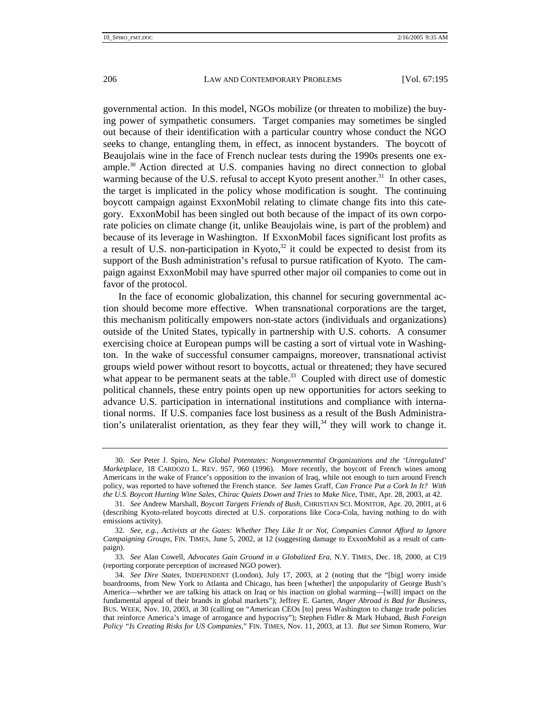governmental action. In this model, NGOs mobilize (or threaten to mobilize) the buying power of sympathetic consumers. Target companies may sometimes be singled out because of their identification with a particular country whose conduct the NGO seeks to change, entangling them, in effect, as innocent bystanders. The boycott of Beaujolais wine in the face of French nuclear tests during the 1990s presents one example.<sup>30</sup> Action directed at U.S. companies having no direct connection to global warming because of the U.S. refusal to accept Kyoto present another.<sup>31</sup> In other cases, the target is implicated in the policy whose modification is sought. The continuing boycott campaign against ExxonMobil relating to climate change fits into this category. ExxonMobil has been singled out both because of the impact of its own corporate policies on climate change (it, unlike Beaujolais wine, is part of the problem) and because of its leverage in Washington. If ExxonMobil faces significant lost profits as a result of U.S. non-participation in Kyoto, $32$  it could be expected to desist from its support of the Bush administration's refusal to pursue ratification of Kyoto. The campaign against ExxonMobil may have spurred other major oil companies to come out in favor of the protocol.

In the face of economic globalization, this channel for securing governmental action should become more effective. When transnational corporations are the target, this mechanism politically empowers non-state actors (individuals and organizations) outside of the United States, typically in partnership with U.S. cohorts. A consumer exercising choice at European pumps will be casting a sort of virtual vote in Washington. In the wake of successful consumer campaigns, moreover, transnational activist groups wield power without resort to boycotts, actual or threatened; they have secured what appear to be permanent seats at the table.<sup>33</sup> Coupled with direct use of domestic political channels, these entry points open up new opportunities for actors seeking to advance U.S. participation in international institutions and compliance with international norms. If U.S. companies face lost business as a result of the Bush Administration's unilateralist orientation, as they fear they will,<sup>34</sup> they will work to change it.

<sup>30</sup>*. See* Peter J. Spiro, *New Global Potentates: Nongovernmental Organizations and the 'Unregulated' Marketplace*, 18 CARDOZO L. REV. 957, 960 (1996). More recently, the boycott of French wines among Americans in the wake of France's opposition to the invasion of Iraq, while not enough to turn around French policy, was reported to have softened the French stance. *See* James Graff, *Can France Put a Cork In It? With the U.S. Boycott Hurting Wine Sales, Chirac Quiets Down and Tries to Make Nice*, TIME, Apr. 28, 2003, at 42.

<sup>31</sup>*. See* Andrew Marshall, *Boycott Targets Friends of Bush*, CHRISTIAN SCI. MONITOR, Apr. 20, 2001, at 6 (describing Kyoto-related boycotts directed at U.S. corporations like Coca-Cola, having nothing to do with emissions activity).

<sup>32</sup>*. See, e.g.*, *Activists at the Gates: Whether They Like It or Not, Companies Cannot Afford to Ignore Campaigning Groups*, FIN. TIMES, June 5, 2002, at 12 (suggesting damage to ExxonMobil as a result of campaign).

<sup>33</sup>*. See* Alan Cowell, *Advocates Gain Ground in a Globalized Era*, N.Y. TIMES, Dec. 18, 2000, at C19 (reporting corporate perception of increased NGO power).

<sup>34</sup>*. See Dire States*, INDEPENDENT (London), July 17, 2003, at 2 (noting that the "[big] worry inside boardrooms, from New York to Atlanta and Chicago, has been [whether] the unpopularity of George Bush's America—whether we are talking his attack on Iraq or his inaction on global warming—[will] impact on the fundamental appeal of their brands in global markets"); Jeffrey E. Garten, *Anger Abroad is Bad for Business*, BUS. WEEK, Nov. 10, 2003, at 30 (calling on "American CEOs [to] press Washington to change trade policies that reinforce America's image of arrogance and hypocrisy"); Stephen Fidler & Mark Huband, *Bush Foreign Policy "Is Creating Risks for US Companies*," FIN. TIMES, Nov. 11, 2003, at 13. *But see* Simon Romero, *War*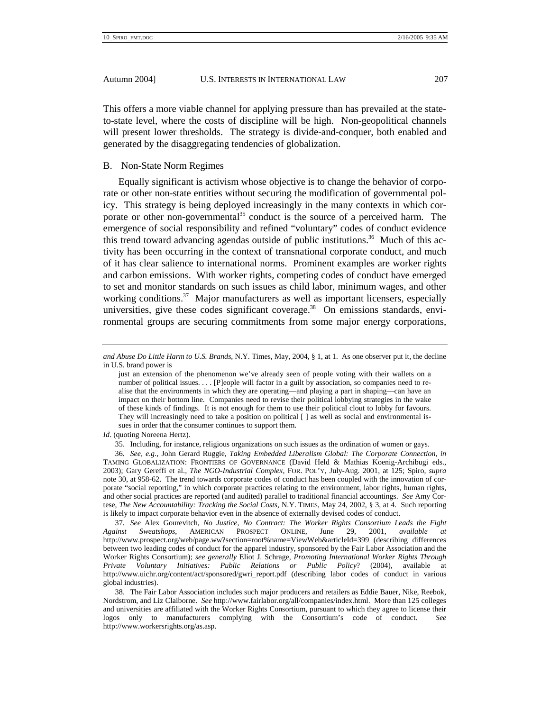This offers a more viable channel for applying pressure than has prevailed at the stateto-state level, where the costs of discipline will be high. Non-geopolitical channels will present lower thresholds. The strategy is divide-and-conquer, both enabled and generated by the disaggregating tendencies of globalization.

#### B. Non-State Norm Regimes

Equally significant is activism whose objective is to change the behavior of corporate or other non-state entities without securing the modification of governmental policy. This strategy is being deployed increasingly in the many contexts in which corporate or other non-governmental $35$  conduct is the source of a perceived harm. The emergence of social responsibility and refined "voluntary" codes of conduct evidence this trend toward advancing agendas outside of public institutions.<sup>36</sup> Much of this activity has been occurring in the context of transnational corporate conduct, and much of it has clear salience to international norms. Prominent examples are worker rights and carbon emissions. With worker rights, competing codes of conduct have emerged to set and monitor standards on such issues as child labor, minimum wages, and other working conditions.<sup>37</sup> Major manufacturers as well as important licensers, especially universities, give these codes significant coverage. $38$  On emissions standards, environmental groups are securing commitments from some major energy corporations,

just an extension of the phenomenon we've already seen of people voting with their wallets on a number of political issues. . . . [P]eople will factor in a guilt by association, so companies need to realise that the environments in which they are operating—and playing a part in shaping—can have an impact on their bottom line. Companies need to revise their political lobbying strategies in the wake of these kinds of findings. It is not enough for them to use their political clout to lobby for favours. They will increasingly need to take a position on political [ ] as well as social and environmental issues in order that the consumer continues to support them.

*Id*. (quoting Noreena Hertz).

35. Including, for instance, religious organizations on such issues as the ordination of women or gays.

36*. See, e.g.*, John Gerard Ruggie, *Taking Embedded Liberalism Global: The Corporate Connection*, *in* TAMING GLOBALIZATION: FRONTIERS OF GOVERNANCE (David Held & Mathias Koenig-Archibugi eds., 2003); Gary Gereffi et al., *The NGO-Industrial Complex*, FOR. POL'Y, July-Aug. 2001, at 125; Spiro, *supra* note 30, at 958-62. The trend towards corporate codes of conduct has been coupled with the innovation of corporate "social reporting," in which corporate practices relating to the environment, labor rights, human rights, and other social practices are reported (and audited) parallel to traditional financial accountings. *See* Amy Cortese, *The New Accountability: Tracking the Social Costs*, N.Y. TIMES, May 24, 2002, § 3, at 4. Such reporting is likely to impact corporate behavior even in the absence of externally devised codes of conduct.

37*. See* Alex Gourevitch, *No Justice, No Contract: The Worker Rights Consortium Leads the Fight*  Against Sweatshops, AMERICAN PROSPECT ONLINE, June 29, 2001, *available* http://www.prospect.org/web/page.ww?section=root%name=ViewWeb&articleId=399 (describing differences between two leading codes of conduct for the apparel industry, sponsored by the Fair Labor Association and the Worker Rights Consortium); *see generally* Eliot J. Schrage, *Promoting International Worker Rights Through Private Voluntary Initiatives: Public Relations or Public Policy*? (2004), available at http://www.uichr.org/content/act/sponsored/gwri\_report.pdf (describing labor codes of conduct in various global industries).

 38. The Fair Labor Association includes such major producers and retailers as Eddie Bauer, Nike, Reebok, Nordstrom, and Liz Claiborne. *See* http://www.fairlabor.org/all/companies/index.html. More than 125 colleges and universities are affiliated with the Worker Rights Consortium, pursuant to which they agree to license their logos only to manufacturers complying with the Consortium's code of conduct. *See*  http://www.workersrights.org/as.asp.

*and Abuse Do Little Harm to U.S. Brands*, N.Y. Times, May, 2004, § 1, at 1. As one observer put it, the decline in U.S. brand power is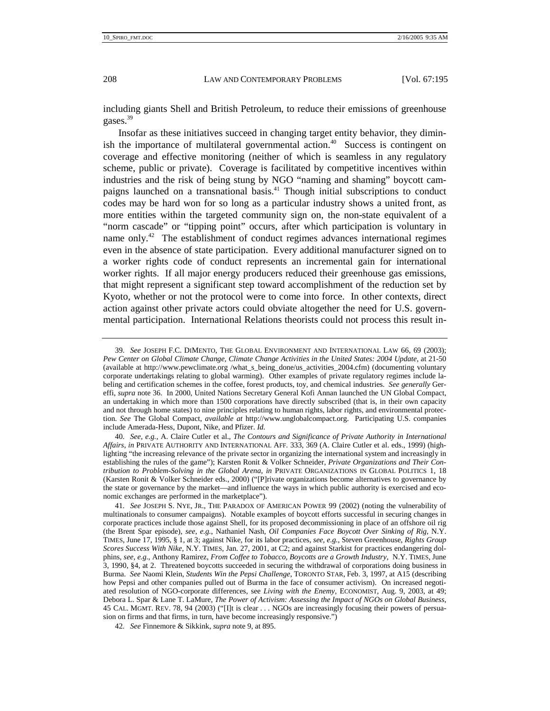including giants Shell and British Petroleum, to reduce their emissions of greenhouse gases.<sup>39</sup>

Insofar as these initiatives succeed in changing target entity behavior, they diminish the importance of multilateral governmental action.<sup>40</sup> Success is contingent on coverage and effective monitoring (neither of which is seamless in any regulatory scheme, public or private). Coverage is facilitated by competitive incentives within industries and the risk of being stung by NGO "naming and shaming" boycott campaigns launched on a transnational basis.41 Though initial subscriptions to conduct codes may be hard won for so long as a particular industry shows a united front, as more entities within the targeted community sign on, the non-state equivalent of a "norm cascade" or "tipping point" occurs, after which participation is voluntary in name only.<sup>42</sup> The establishment of conduct regimes advances international regimes even in the absence of state participation. Every additional manufacturer signed on to a worker rights code of conduct represents an incremental gain for international worker rights. If all major energy producers reduced their greenhouse gas emissions, that might represent a significant step toward accomplishment of the reduction set by Kyoto, whether or not the protocol were to come into force. In other contexts, direct action against other private actors could obviate altogether the need for U.S. governmental participation. International Relations theorists could not process this result in-

40*. See, e.g.*, A. Claire Cutler et al., *The Contours and Significance of Private Authority in International Affairs*, *in* PRIVATE AUTHORITY AND INTERNATIONAL AFF. 333, 369 (A. Claire Cutler et al. eds., 1999) (highlighting "the increasing relevance of the private sector in organizing the international system and increasingly in establishing the rules of the game"); Karsten Ronit & Volker Schneider, *Private Organizations and Their Contribution to Problem-Solving in the Global Arena*, *in* PRIVATE ORGANIZATIONS IN GLOBAL POLITICS 1, 18 (Karsten Ronit & Volker Schneider eds., 2000) ("[P]rivate organizations become alternatives to governance by the state or governance by the market—and influence the ways in which public authority is exercised and economic exchanges are performed in the marketplace").

41*. See* JOSEPH S. NYE, JR., THE PARADOX OF AMERICAN POWER 99 (2002) (noting the vulnerability of multinationals to consumer campaigns). Notable examples of boycott efforts successful in securing changes in corporate practices include those against Shell, for its proposed decommissioning in place of an offshore oil rig (the Brent Spar episode), *see, e.g.*, Nathaniel Nash, *Oil Companies Face Boycott Over Sinking of Rig*, N.Y. TIMES, June 17, 1995, § 1, at 3; against Nike, for its labor practices, *see, e.g.*, Steven Greenhouse, *Rights Group Scores Success With Nike*, N.Y. TIMES, Jan. 27, 2001, at C2; and against Starkist for practices endangering dolphins, *see, e.g.*, Anthony Ramirez, *From Coffee to Tobacco, Boycotts are a Growth Industry*, N.Y. TIMES, June 3, 1990, §4, at 2. Threatened boycotts succeeded in securing the withdrawal of corporations doing business in Burma. *See* Naomi Klein, *Students Win the Pepsi Challenge*, TORONTO STAR, Feb. 3, 1997, at A15 (describing how Pepsi and other companies pulled out of Burma in the face of consumer activism). On increased negotiated resolution of NGO-corporate differences, see *Living with the Enemy*, ECONOMIST, Aug. 9, 2003, at 49; Debora L. Spar & Lane T. LaMure, *The Power of Activism: Assessing the Impact of NGOs on Global Business*, 45 CAL. MGMT. REV. 78, 94 (2003) ("[I]t is clear . . . NGOs are increasingly focusing their powers of persuasion on firms and that firms, in turn, have become increasingly responsive.")

42*. See* Finnemore & Sikkink, *supra* note 9, at 895.

<sup>39</sup>*. See* JOSEPH F.C. DIMENTO, THE GLOBAL ENVIRONMENT AND INTERNATIONAL LAW 66, 69 (2003); *Pew Center on Global Climate Change, Climate Change Activities in the United States: 2004 Update*, at 21-50 (available at http://www.pewclimate.org /what\_s\_being\_done/us\_activities\_2004.cfm) (documenting voluntary corporate undertakings relating to global warming). Other examples of private regulatory regimes include labeling and certification schemes in the coffee, forest products, toy, and chemical industries. *See generally* Gereffi, *supra* note 36. In 2000, United Nations Secretary General Kofi Annan launched the UN Global Compact, an undertaking in which more than 1500 corporations have directly subscribed (that is, in their own capacity and not through home states) to nine principles relating to human rights, labor rights, and environmental protection. *See* The Global Compact, *available at* http://www.unglobalcompact.org. Participating U.S. companies include Amerada-Hess, Dupont, Nike, and Pfizer. *Id.*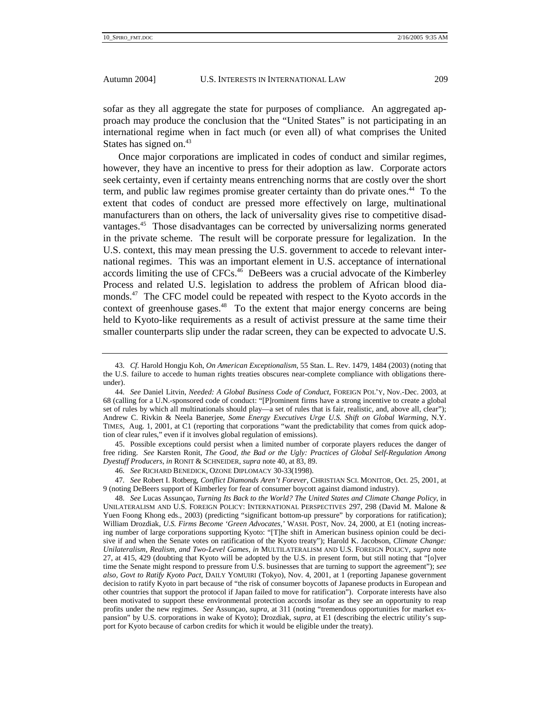sofar as they all aggregate the state for purposes of compliance. An aggregated approach may produce the conclusion that the "United States" is not participating in an international regime when in fact much (or even all) of what comprises the United States has signed on. $43$ 

Once major corporations are implicated in codes of conduct and similar regimes, however, they have an incentive to press for their adoption as law. Corporate actors seek certainty, even if certainty means entrenching norms that are costly over the short term, and public law regimes promise greater certainty than do private ones.<sup>44</sup> To the extent that codes of conduct are pressed more effectively on large, multinational manufacturers than on others, the lack of universality gives rise to competitive disadvantages.<sup>45</sup> Those disadvantages can be corrected by universalizing norms generated in the private scheme. The result will be corporate pressure for legalization. In the U.S. context, this may mean pressing the U.S. government to accede to relevant international regimes. This was an important element in U.S. acceptance of international accords limiting the use of CFCs.46 DeBeers was a crucial advocate of the Kimberley Process and related U.S. legislation to address the problem of African blood diamonds.<sup>47</sup> The CFC model could be repeated with respect to the Kyoto accords in the context of greenhouse gases.<sup>48</sup> To the extent that major energy concerns are being held to Kyoto-like requirements as a result of activist pressure at the same time their smaller counterparts slip under the radar screen, they can be expected to advocate U.S.

 45. Possible exceptions could persist when a limited number of corporate players reduces the danger of free riding. *See* Karsten Ronit, *The Good, the Bad or the Ugly: Practices of Global Self-Regulation Among Dyestuff Producers*, *in* RONIT & SCHNEIDER, *supra* note 40, at 83, 89.

47*. See* Robert I. Rotberg, *Conflict Diamonds Aren't Forever*, CHRISTIAN SCI. MONITOR, Oct. 25, 2001, at 9 (noting DeBeers support of Kimberley for fear of consumer boycott against diamond industry).

48*. See* Lucas Assunçao, *Turning Its Back to the World? The United States and Climate Change Policy*, in UNILATERALISM AND U.S. FOREIGN POLICY: INTERNATIONAL PERSPECTIVES 297, 298 (David M. Malone & Yuen Foong Khong eds., 2003) (predicting "significant bottom-up pressure" by corporations for ratification); William Drozdiak, *U.S. Firms Become 'Green Advocates,'* WASH. POST, Nov. 24, 2000, at E1 (noting increasing number of large corporations supporting Kyoto: "[T]he shift in American business opinion could be decisive if and when the Senate votes on ratification of the Kyoto treaty"); Harold K. Jacobson, *Climate Change: Unilateralism, Realism, and Two-Level Games*, *in* MULTILATERALISM AND U.S. FOREIGN POLICY, *supra* note 27, at 415, 429 (doubting that Kyoto will be adopted by the U.S. in present form, but still noting that "[o]ver time the Senate might respond to pressure from U.S. businesses that are turning to support the agreement"); *see also, Govt to Ratify Kyoto Pact*, DAILY YOMUIRI (Tokyo), Nov. 4, 2001, at 1 (reporting Japanese government decision to ratify Kyoto in part because of "the risk of consumer boycotts of Japanese products in European and other countries that support the protocol if Japan failed to move for ratification"). Corporate interests have also been motivated to support these environmental protection accords insofar as they see an opportunity to reap profits under the new regimes. *See* Assunçao, *supra*, at 311 (noting "tremendous opportunities for market expansion" by U.S. corporations in wake of Kyoto); Drozdiak, *supra*, at E1 (describing the electric utility's support for Kyoto because of carbon credits for which it would be eligible under the treaty).

<sup>43</sup>*. Cf.* Harold Hongju Koh, *On American Exceptionalism*, 55 Stan. L. Rev. 1479, 1484 (2003) (noting that the U.S. failure to accede to human rights treaties obscures near-complete compliance with obligations thereunder).

<sup>44</sup>*. See* Daniel Litvin, *Needed: A Global Business Code of Conduct*, FOREIGN POL'Y, Nov.-Dec. 2003, at 68 (calling for a U.N.-sponsored code of conduct: "[P]rominent firms have a strong incentive to create a global set of rules by which all multinationals should play—a set of rules that is fair, realistic, and, above all, clear"); Andrew C. Rivkin & Neela Banerjee, *Some Energy Executives Urge U.S. Shift on Global Warming*, N.Y. TIMES, Aug. 1, 2001, at C1 (reporting that corporations "want the predictability that comes from quick adoption of clear rules," even if it involves global regulation of emissions).

<sup>46</sup>*. See* RICHARD BENEDICK, OZONE DIPLOMACY 30-33(1998).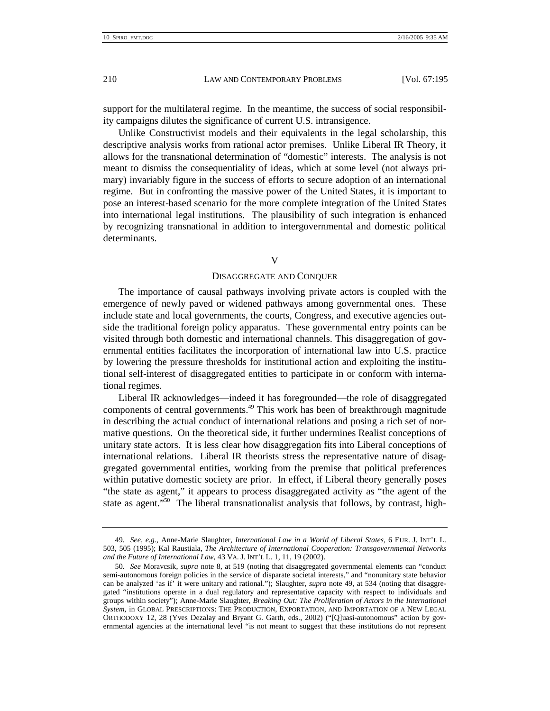support for the multilateral regime. In the meantime, the success of social responsibility campaigns dilutes the significance of current U.S. intransigence.

Unlike Constructivist models and their equivalents in the legal scholarship, this descriptive analysis works from rational actor premises. Unlike Liberal IR Theory, it allows for the transnational determination of "domestic" interests. The analysis is not meant to dismiss the consequentiality of ideas, which at some level (not always primary) invariably figure in the success of efforts to secure adoption of an international regime. But in confronting the massive power of the United States, it is important to pose an interest-based scenario for the more complete integration of the United States into international legal institutions. The plausibility of such integration is enhanced by recognizing transnational in addition to intergovernmental and domestic political determinants.

#### V

## DISAGGREGATE AND CONQUER

The importance of causal pathways involving private actors is coupled with the emergence of newly paved or widened pathways among governmental ones. These include state and local governments, the courts, Congress, and executive agencies outside the traditional foreign policy apparatus. These governmental entry points can be visited through both domestic and international channels. This disaggregation of governmental entities facilitates the incorporation of international law into U.S. practice by lowering the pressure thresholds for institutional action and exploiting the institutional self-interest of disaggregated entities to participate in or conform with international regimes.

Liberal IR acknowledges—indeed it has foregrounded—the role of disaggregated components of central governments.49 This work has been of breakthrough magnitude in describing the actual conduct of international relations and posing a rich set of normative questions. On the theoretical side, it further undermines Realist conceptions of unitary state actors. It is less clear how disaggregation fits into Liberal conceptions of international relations. Liberal IR theorists stress the representative nature of disaggregated governmental entities, working from the premise that political preferences within putative domestic society are prior. In effect, if Liberal theory generally poses "the state as agent," it appears to process disaggregated activity as "the agent of the state as agent."50 The liberal transnationalist analysis that follows, by contrast, high-

<sup>49</sup>*. See, e.g.*, Anne-Marie Slaughter, *International Law in a World of Liberal States*, 6 EUR. J. INT'L L. 503, 505 (1995); Kal Raustiala, *The Architecture of International Cooperation: Transgovernmental Networks and the Future of International Law*, 43 VA. J. INT'L L. 1, 11, 19 (2002).

<sup>50</sup>*. See* Moravcsik, *supra* note 8, at 519 (noting that disaggregated governmental elements can "conduct semi-autonomous foreign policies in the service of disparate societal interests," and "nonunitary state behavior can be analyzed 'as if' it were unitary and rational."); Slaughter, *supra* note 49, at 534 (noting that disaggregated "institutions operate in a dual regulatory and representative capacity with respect to individuals and groups within society"); Anne-Marie Slaughter, *Breaking Out: The Proliferation of Actors in the International System*, in GLOBAL PRESCRIPTIONS: THE PRODUCTION, EXPORTATION, AND IMPORTATION OF A NEW LEGAL ORTHODOXY 12, 28 (Yves Dezalay and Bryant G. Garth, eds., 2002) ("[Q]uasi-autonomous" action by governmental agencies at the international level "is not meant to suggest that these institutions do not represent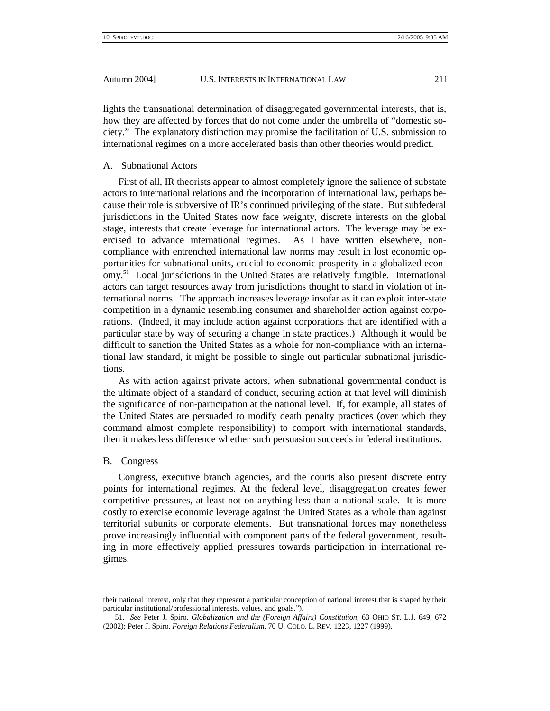lights the transnational determination of disaggregated governmental interests, that is, how they are affected by forces that do not come under the umbrella of "domestic society." The explanatory distinction may promise the facilitation of U.S. submission to international regimes on a more accelerated basis than other theories would predict.

## A. Subnational Actors

First of all, IR theorists appear to almost completely ignore the salience of substate actors to international relations and the incorporation of international law, perhaps because their role is subversive of IR's continued privileging of the state. But subfederal jurisdictions in the United States now face weighty, discrete interests on the global stage, interests that create leverage for international actors. The leverage may be exercised to advance international regimes. As I have written elsewhere, noncompliance with entrenched international law norms may result in lost economic opportunities for subnational units, crucial to economic prosperity in a globalized economy.51 Local jurisdictions in the United States are relatively fungible. International actors can target resources away from jurisdictions thought to stand in violation of international norms. The approach increases leverage insofar as it can exploit inter-state competition in a dynamic resembling consumer and shareholder action against corporations. (Indeed, it may include action against corporations that are identified with a particular state by way of securing a change in state practices.) Although it would be difficult to sanction the United States as a whole for non-compliance with an international law standard, it might be possible to single out particular subnational jurisdictions.

As with action against private actors, when subnational governmental conduct is the ultimate object of a standard of conduct, securing action at that level will diminish the significance of non-participation at the national level. If, for example, all states of the United States are persuaded to modify death penalty practices (over which they command almost complete responsibility) to comport with international standards, then it makes less difference whether such persuasion succeeds in federal institutions.

## B. Congress

Congress, executive branch agencies, and the courts also present discrete entry points for international regimes. At the federal level, disaggregation creates fewer competitive pressures, at least not on anything less than a national scale. It is more costly to exercise economic leverage against the United States as a whole than against territorial subunits or corporate elements. But transnational forces may nonetheless prove increasingly influential with component parts of the federal government, resulting in more effectively applied pressures towards participation in international regimes.

their national interest, only that they represent a particular conception of national interest that is shaped by their particular institutional/professional interests, values, and goals.").

<sup>51</sup>*. See* Peter J. Spiro, *Globalization and the (Foreign Affairs) Constitution*, 63 OHIO ST. L.J. 649, 672 (2002); Peter J. Spiro, *Foreign Relations Federalism*, 70 U. COLO. L. REV. 1223, 1227 (1999).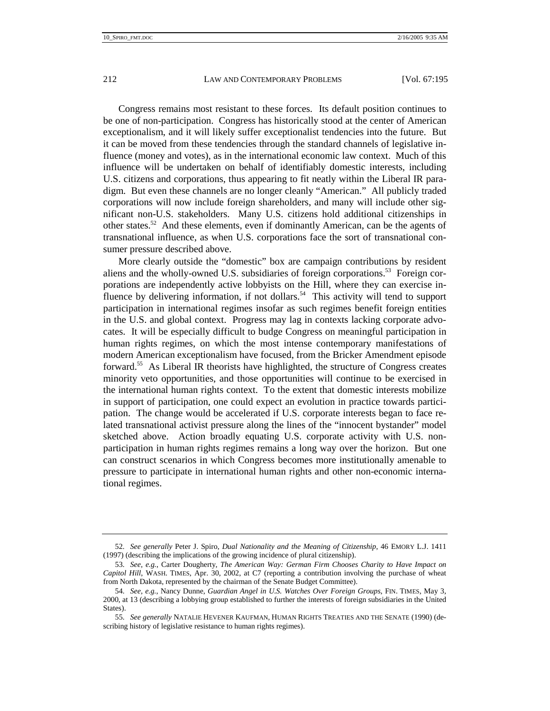Congress remains most resistant to these forces. Its default position continues to be one of non-participation. Congress has historically stood at the center of American exceptionalism, and it will likely suffer exceptionalist tendencies into the future. But it can be moved from these tendencies through the standard channels of legislative influence (money and votes), as in the international economic law context. Much of this influence will be undertaken on behalf of identifiably domestic interests, including U.S. citizens and corporations, thus appearing to fit neatly within the Liberal IR paradigm. But even these channels are no longer cleanly "American." All publicly traded corporations will now include foreign shareholders, and many will include other significant non-U.S. stakeholders. Many U.S. citizens hold additional citizenships in other states.<sup>52</sup> And these elements, even if dominantly American, can be the agents of transnational influence, as when U.S. corporations face the sort of transnational consumer pressure described above.

More clearly outside the "domestic" box are campaign contributions by resident aliens and the wholly-owned U.S. subsidiaries of foreign corporations.<sup>53</sup> Foreign corporations are independently active lobbyists on the Hill, where they can exercise influence by delivering information, if not dollars.<sup>54</sup> This activity will tend to support participation in international regimes insofar as such regimes benefit foreign entities in the U.S. and global context. Progress may lag in contexts lacking corporate advocates. It will be especially difficult to budge Congress on meaningful participation in human rights regimes, on which the most intense contemporary manifestations of modern American exceptionalism have focused, from the Bricker Amendment episode forward.<sup>55</sup> As Liberal IR theorists have highlighted, the structure of Congress creates minority veto opportunities, and those opportunities will continue to be exercised in the international human rights context. To the extent that domestic interests mobilize in support of participation, one could expect an evolution in practice towards participation. The change would be accelerated if U.S. corporate interests began to face related transnational activist pressure along the lines of the "innocent bystander" model sketched above. Action broadly equating U.S. corporate activity with U.S. nonparticipation in human rights regimes remains a long way over the horizon. But one can construct scenarios in which Congress becomes more institutionally amenable to pressure to participate in international human rights and other non-economic international regimes.

<sup>52</sup>*. See generally* Peter J. Spiro, *Dual Nationality and the Meaning of Citizenship*, 46 EMORY L.J. 1411 (1997) (describing the implications of the growing incidence of plural citizenship).

<sup>53</sup>*. See, e.g.*, Carter Dougherty, *The American Way: German Firm Chooses Charity to Have Impact on Capitol Hill*, WASH. TIMES, Apr. 30, 2002, at C7 (reporting a contribution involving the purchase of wheat from North Dakota, represented by the chairman of the Senate Budget Committee).

<sup>54</sup>*. See, e.g.*, Nancy Dunne, *Guardian Angel in U.S. Watches Over Foreign Groups*, FIN. TIMES, May 3, 2000, at 13 (describing a lobbying group established to further the interests of foreign subsidiaries in the United States).

<sup>55</sup>*. See generally* NATALIE HEVENER KAUFMAN, HUMAN RIGHTS TREATIES AND THE SENATE (1990) (describing history of legislative resistance to human rights regimes).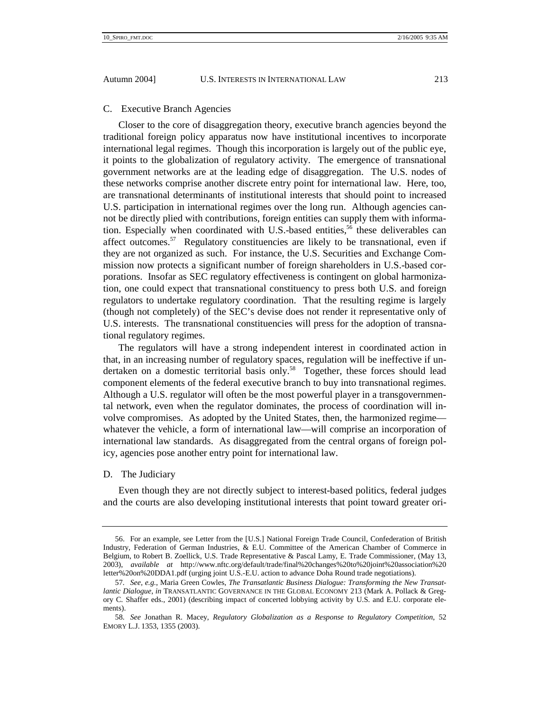#### C. Executive Branch Agencies

Closer to the core of disaggregation theory, executive branch agencies beyond the traditional foreign policy apparatus now have institutional incentives to incorporate international legal regimes. Though this incorporation is largely out of the public eye, it points to the globalization of regulatory activity. The emergence of transnational government networks are at the leading edge of disaggregation. The U.S. nodes of these networks comprise another discrete entry point for international law. Here, too, are transnational determinants of institutional interests that should point to increased U.S. participation in international regimes over the long run. Although agencies cannot be directly plied with contributions, foreign entities can supply them with information. Especially when coordinated with U.S.-based entities,<sup>56</sup> these deliverables can affect outcomes.<sup>57</sup> Regulatory constituencies are likely to be transnational, even if they are not organized as such. For instance, the U.S. Securities and Exchange Commission now protects a significant number of foreign shareholders in U.S.-based corporations. Insofar as SEC regulatory effectiveness is contingent on global harmonization, one could expect that transnational constituency to press both U.S. and foreign regulators to undertake regulatory coordination. That the resulting regime is largely (though not completely) of the SEC's devise does not render it representative only of U.S. interests. The transnational constituencies will press for the adoption of transnational regulatory regimes.

The regulators will have a strong independent interest in coordinated action in that, in an increasing number of regulatory spaces, regulation will be ineffective if undertaken on a domestic territorial basis only.<sup>58</sup> Together, these forces should lead component elements of the federal executive branch to buy into transnational regimes. Although a U.S. regulator will often be the most powerful player in a transgovernmental network, even when the regulator dominates, the process of coordination will involve compromises. As adopted by the United States, then, the harmonized regime whatever the vehicle, a form of international law—will comprise an incorporation of international law standards. As disaggregated from the central organs of foreign policy, agencies pose another entry point for international law.

#### D. The Judiciary

Even though they are not directly subject to interest-based politics, federal judges and the courts are also developing institutional interests that point toward greater ori-

 <sup>56.</sup> For an example, see Letter from the [U.S.] National Foreign Trade Council, Confederation of British Industry, Federation of German Industries, & E.U. Committee of the American Chamber of Commerce in Belgium, to Robert B. Zoellick, U.S. Trade Representative & Pascal Lamy, E. Trade Commissioner, (May 13, 2003), *available at* http://www.nftc.org/default/trade/final%20changes%20to%20joint%20association%20 letter%20on%20DDA1.pdf (urging joint U.S.-E.U. action to advance Doha Round trade negotiations).

<sup>57</sup>*. See, e.g.*, Maria Green Cowles, *The Transatlantic Business Dialogue: Transforming the New Transatlantic Dialogue*, *in* TRANSATLANTIC GOVERNANCE IN THE GLOBAL ECONOMY 213 (Mark A. Pollack & Gregory C. Shaffer eds., 2001) (describing impact of concerted lobbying activity by U.S. and E.U. corporate elements).

<sup>58</sup>*. See* Jonathan R. Macey, *Regulatory Globalization as a Response to Regulatory Competition*, 52 EMORY L.J. 1353, 1355 (2003).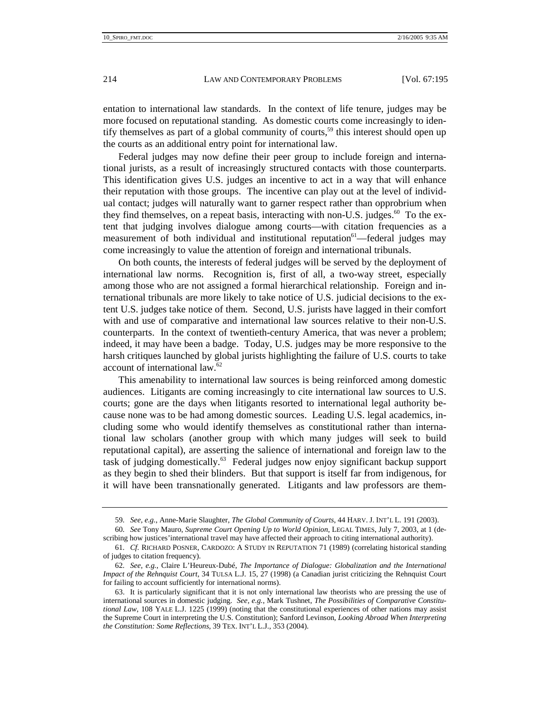entation to international law standards. In the context of life tenure, judges may be more focused on reputational standing. As domestic courts come increasingly to identify themselves as part of a global community of courts,<sup>59</sup> this interest should open up the courts as an additional entry point for international law.

Federal judges may now define their peer group to include foreign and international jurists, as a result of increasingly structured contacts with those counterparts. This identification gives U.S. judges an incentive to act in a way that will enhance their reputation with those groups. The incentive can play out at the level of individual contact; judges will naturally want to garner respect rather than opprobrium when they find themselves, on a repeat basis, interacting with non-U.S. judges. $60$  To the extent that judging involves dialogue among courts—with citation frequencies as a measurement of both individual and institutional reputation<sup>61</sup>—federal judges may come increasingly to value the attention of foreign and international tribunals.

On both counts, the interests of federal judges will be served by the deployment of international law norms. Recognition is, first of all, a two-way street, especially among those who are not assigned a formal hierarchical relationship. Foreign and international tribunals are more likely to take notice of U.S. judicial decisions to the extent U.S. judges take notice of them. Second, U.S. jurists have lagged in their comfort with and use of comparative and international law sources relative to their non-U.S. counterparts. In the context of twentieth-century America, that was never a problem; indeed, it may have been a badge. Today, U.S. judges may be more responsive to the harsh critiques launched by global jurists highlighting the failure of U.S. courts to take account of international law.<sup>62</sup>

This amenability to international law sources is being reinforced among domestic audiences. Litigants are coming increasingly to cite international law sources to U.S. courts; gone are the days when litigants resorted to international legal authority because none was to be had among domestic sources. Leading U.S. legal academics, including some who would identify themselves as constitutional rather than international law scholars (another group with which many judges will seek to build reputational capital), are asserting the salience of international and foreign law to the task of judging domestically.63 Federal judges now enjoy significant backup support as they begin to shed their blinders. But that support is itself far from indigenous, for it will have been transnationally generated. Litigants and law professors are them-

<sup>59</sup>*. See, e.g.*, Anne-Marie Slaughter, *The Global Community of Courts*, 44 HARV. J. INT'L L. 191 (2003).

<sup>60</sup>*. See* Tony Mauro, *Supreme Court Opening Up to World Opinion*, LEGAL TIMES, July 7, 2003, at 1 (describing how justices'international travel may have affected their approach to citing international authority).

<sup>61</sup>*. Cf.* RICHARD POSNER, CARDOZO: A STUDY IN REPUTATION 71 (1989) (correlating historical standing of judges to citation frequency).

<sup>62</sup>*. See, e.g.*, Claire L'Heureux-Dubé, *The Importance of Dialogue: Globalization and the International Impact of the Rehnquist Court*, 34 TULSA L.J. 15, 27 (1998) (a Canadian jurist criticizing the Rehnquist Court for failing to account sufficiently for international norms).

 <sup>63.</sup> It is particularly significant that it is not only international law theorists who are pressing the use of international sources in domestic judging. *See, e.g.*, Mark Tushnet*, The Possibilities of Comparative Constitutional Law*, 108 YALE L.J. 1225 (1999) (noting that the constitutional experiences of other nations may assist the Supreme Court in interpreting the U.S. Constitution); Sanford Levinson, *Looking Abroad When Interpreting the Constitution: Some Reflections*, 39 TEX. INT'L L.J., 353 (2004).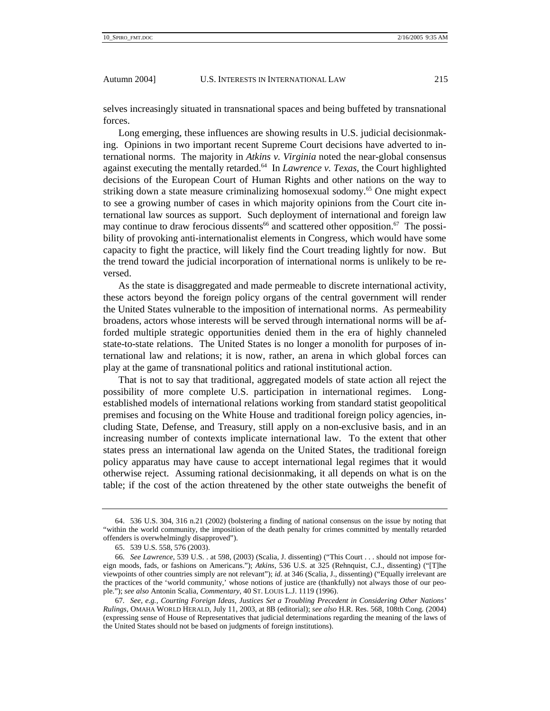selves increasingly situated in transnational spaces and being buffeted by transnational forces.

Long emerging, these influences are showing results in U.S. judicial decisionmaking. Opinions in two important recent Supreme Court decisions have adverted to international norms. The majority in *Atkins v. Virginia* noted the near-global consensus against executing the mentally retarded.64 In *Lawrence v. Texas*, the Court highlighted decisions of the European Court of Human Rights and other nations on the way to striking down a state measure criminalizing homosexual sodomy.<sup>65</sup> One might expect to see a growing number of cases in which majority opinions from the Court cite international law sources as support. Such deployment of international and foreign law may continue to draw ferocious dissents<sup>66</sup> and scattered other opposition.<sup>67</sup> The possibility of provoking anti-internationalist elements in Congress, which would have some capacity to fight the practice, will likely find the Court treading lightly for now. But the trend toward the judicial incorporation of international norms is unlikely to be reversed.

As the state is disaggregated and made permeable to discrete international activity, these actors beyond the foreign policy organs of the central government will render the United States vulnerable to the imposition of international norms. As permeability broadens, actors whose interests will be served through international norms will be afforded multiple strategic opportunities denied them in the era of highly channeled state-to-state relations. The United States is no longer a monolith for purposes of international law and relations; it is now, rather, an arena in which global forces can play at the game of transnational politics and rational institutional action.

That is not to say that traditional, aggregated models of state action all reject the possibility of more complete U.S. participation in international regimes. Longestablished models of international relations working from standard statist geopolitical premises and focusing on the White House and traditional foreign policy agencies, including State, Defense, and Treasury, still apply on a non-exclusive basis, and in an increasing number of contexts implicate international law. To the extent that other states press an international law agenda on the United States, the traditional foreign policy apparatus may have cause to accept international legal regimes that it would otherwise reject. Assuming rational decisionmaking, it all depends on what is on the table; if the cost of the action threatened by the other state outweighs the benefit of

 <sup>64. 536</sup> U.S. 304, 316 n.21 (2002) (bolstering a finding of national consensus on the issue by noting that "within the world community, the imposition of the death penalty for crimes committed by mentally retarded offenders is overwhelmingly disapproved").

 <sup>65. 539</sup> U.S. 558, 576 (2003).

<sup>66</sup>*. See Lawrence*, 539 U.S. . at 598, (2003) (Scalia, J. dissenting) ("This Court . . . should not impose foreign moods, fads, or fashions on Americans."); *Atkins*, 536 U.S. at 325 (Rehnquist, C.J., dissenting) ("[T]he viewpoints of other countries simply are not relevant"); *id.* at 346 (Scalia, J., dissenting) ("Equally irrelevant are the practices of the 'world community,' whose notions of justice are (thankfully) not always those of our people."); *see also* Antonin Scalia, *Commentary*, 40 ST. LOUIS L.J. 1119 (1996).

<sup>67</sup>*. See, e.g.*, *Courting Foreign Ideas, Justices Set a Troubling Precedent in Considering Other Nations' Rulings*, OMAHA WORLD HERALD, July 11, 2003, at 8B (editorial); *see also* H.R. Res. 568, 108th Cong. (2004) (expressing sense of House of Representatives that judicial determinations regarding the meaning of the laws of the United States should not be based on judgments of foreign institutions).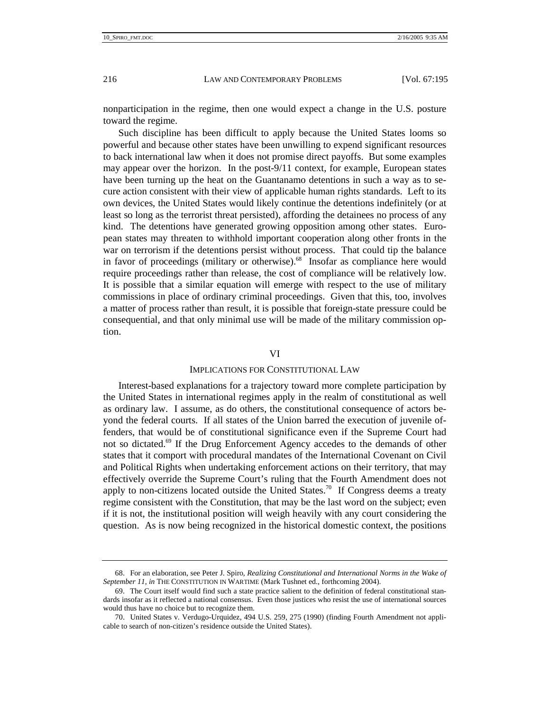nonparticipation in the regime, then one would expect a change in the U.S. posture toward the regime.

Such discipline has been difficult to apply because the United States looms so powerful and because other states have been unwilling to expend significant resources to back international law when it does not promise direct payoffs. But some examples may appear over the horizon. In the post-9/11 context, for example, European states have been turning up the heat on the Guantanamo detentions in such a way as to secure action consistent with their view of applicable human rights standards. Left to its own devices, the United States would likely continue the detentions indefinitely (or at least so long as the terrorist threat persisted), affording the detainees no process of any kind. The detentions have generated growing opposition among other states. European states may threaten to withhold important cooperation along other fronts in the war on terrorism if the detentions persist without process. That could tip the balance in favor of proceedings (military or otherwise).<sup>68</sup> Insofar as compliance here would require proceedings rather than release, the cost of compliance will be relatively low. It is possible that a similar equation will emerge with respect to the use of military commissions in place of ordinary criminal proceedings. Given that this, too, involves a matter of process rather than result, it is possible that foreign-state pressure could be consequential, and that only minimal use will be made of the military commission option.

#### VI

#### IMPLICATIONS FOR CONSTITUTIONAL LAW

Interest-based explanations for a trajectory toward more complete participation by the United States in international regimes apply in the realm of constitutional as well as ordinary law. I assume, as do others, the constitutional consequence of actors beyond the federal courts. If all states of the Union barred the execution of juvenile offenders, that would be of constitutional significance even if the Supreme Court had not so dictated.69 If the Drug Enforcement Agency accedes to the demands of other states that it comport with procedural mandates of the International Covenant on Civil and Political Rights when undertaking enforcement actions on their territory, that may effectively override the Supreme Court's ruling that the Fourth Amendment does not apply to non-citizens located outside the United States.<sup>70</sup> If Congress deems a treaty regime consistent with the Constitution, that may be the last word on the subject; even if it is not, the institutional position will weigh heavily with any court considering the question. As is now being recognized in the historical domestic context, the positions

 <sup>68.</sup> For an elaboration, see Peter J. Spiro, *Realizing Constitutional and International Norms in the Wake of September 11, in* THE CONSTITUTION IN WARTIME (Mark Tushnet ed., forthcoming 2004).

 <sup>69.</sup> The Court itself would find such a state practice salient to the definition of federal constitutional standards insofar as it reflected a national consensus. Even those justices who resist the use of international sources would thus have no choice but to recognize them.

 <sup>70.</sup> United States v. Verdugo-Urquidez, 494 U.S. 259, 275 (1990) (finding Fourth Amendment not applicable to search of non-citizen's residence outside the United States).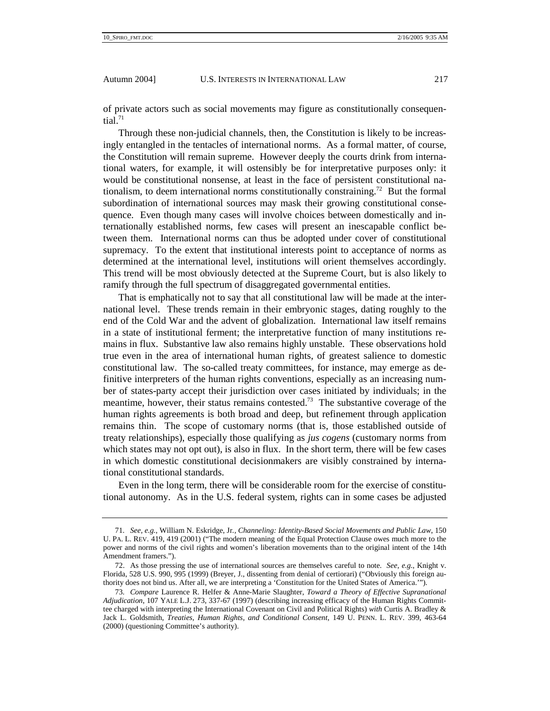of private actors such as social movements may figure as constitutionally consequential $^{71}$ 

Through these non-judicial channels, then, the Constitution is likely to be increasingly entangled in the tentacles of international norms. As a formal matter, of course, the Constitution will remain supreme. However deeply the courts drink from international waters, for example, it will ostensibly be for interpretative purposes only: it would be constitutional nonsense, at least in the face of persistent constitutional nationalism, to deem international norms constitutionally constraining.<sup>72</sup> But the formal subordination of international sources may mask their growing constitutional consequence. Even though many cases will involve choices between domestically and internationally established norms, few cases will present an inescapable conflict between them. International norms can thus be adopted under cover of constitutional supremacy. To the extent that institutional interests point to acceptance of norms as determined at the international level, institutions will orient themselves accordingly. This trend will be most obviously detected at the Supreme Court, but is also likely to ramify through the full spectrum of disaggregated governmental entities.

That is emphatically not to say that all constitutional law will be made at the international level. These trends remain in their embryonic stages, dating roughly to the end of the Cold War and the advent of globalization. International law itself remains in a state of institutional ferment; the interpretative function of many institutions remains in flux. Substantive law also remains highly unstable. These observations hold true even in the area of international human rights, of greatest salience to domestic constitutional law. The so-called treaty committees, for instance, may emerge as definitive interpreters of the human rights conventions, especially as an increasing number of states-party accept their jurisdiction over cases initiated by individuals; in the meantime, however, their status remains contested.<sup>73</sup> The substantive coverage of the human rights agreements is both broad and deep, but refinement through application remains thin. The scope of customary norms (that is, those established outside of treaty relationships), especially those qualifying as *jus cogens* (customary norms from which states may not opt out), is also in flux. In the short term, there will be few cases in which domestic constitutional decisionmakers are visibly constrained by international constitutional standards.

Even in the long term, there will be considerable room for the exercise of constitutional autonomy. As in the U.S. federal system, rights can in some cases be adjusted

<sup>71</sup>*. See, e.g.*, William N. Eskridge, Jr*., Channeling: Identity-Based Social Movements and Public Law*, 150 U. PA. L. REV. 419, 419 (2001) ("The modern meaning of the Equal Protection Clause owes much more to the power and norms of the civil rights and women's liberation movements than to the original intent of the 14th Amendment framers.").

 <sup>72.</sup> As those pressing the use of international sources are themselves careful to note. *See, e.g.*, Knight v. Florida, 528 U.S. 990, 995 (1999) (Breyer, J., dissenting from denial of certiorari) ("Obviously this foreign authority does not bind us. After all, we are interpreting a 'Constitution for the United States of America.'").

<sup>73</sup>*. Compare* Laurence R. Helfer & Anne-Marie Slaughter, *Toward a Theory of Effective Supranational Adjudication*, 107 YALE L.J. 273, 337-67 (1997) (describing increasing efficacy of the Human Rights Committee charged with interpreting the International Covenant on Civil and Political Rights) *with* Curtis A. Bradley & Jack L. Goldsmith, *Treaties, Human Rights, and Conditional Consent*, 149 U. PENN. L. REV. 399, 463-64 (2000) (questioning Committee's authority).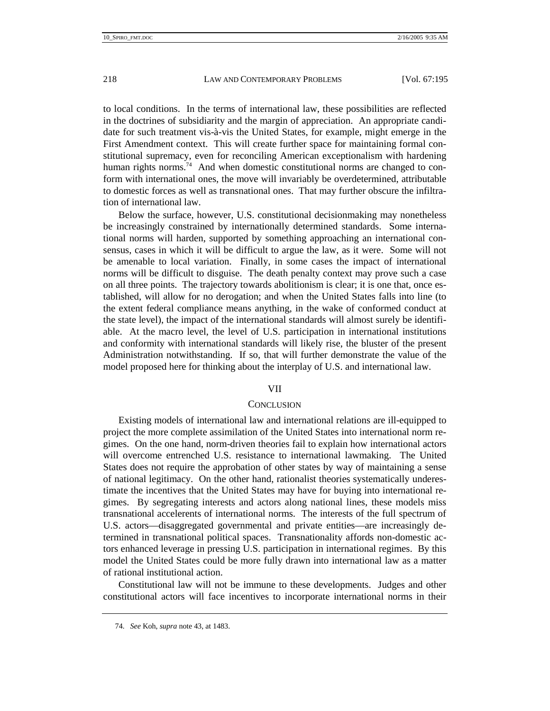to local conditions. In the terms of international law, these possibilities are reflected in the doctrines of subsidiarity and the margin of appreciation. An appropriate candidate for such treatment vis-à-vis the United States, for example, might emerge in the First Amendment context. This will create further space for maintaining formal constitutional supremacy, even for reconciling American exceptionalism with hardening human rights norms.<sup>74</sup> And when domestic constitutional norms are changed to conform with international ones, the move will invariably be overdetermined, attributable to domestic forces as well as transnational ones. That may further obscure the infiltration of international law.

Below the surface, however, U.S. constitutional decisionmaking may nonetheless be increasingly constrained by internationally determined standards. Some international norms will harden, supported by something approaching an international consensus, cases in which it will be difficult to argue the law, as it were. Some will not be amenable to local variation. Finally, in some cases the impact of international norms will be difficult to disguise. The death penalty context may prove such a case on all three points. The trajectory towards abolitionism is clear; it is one that, once established, will allow for no derogation; and when the United States falls into line (to the extent federal compliance means anything, in the wake of conformed conduct at the state level), the impact of the international standards will almost surely be identifiable. At the macro level, the level of U.S. participation in international institutions and conformity with international standards will likely rise, the bluster of the present Administration notwithstanding. If so, that will further demonstrate the value of the model proposed here for thinking about the interplay of U.S. and international law.

#### VII

#### **CONCLUSION**

Existing models of international law and international relations are ill-equipped to project the more complete assimilation of the United States into international norm regimes. On the one hand, norm-driven theories fail to explain how international actors will overcome entrenched U.S. resistance to international lawmaking. The United States does not require the approbation of other states by way of maintaining a sense of national legitimacy. On the other hand, rationalist theories systematically underestimate the incentives that the United States may have for buying into international regimes. By segregating interests and actors along national lines, these models miss transnational accelerents of international norms. The interests of the full spectrum of U.S. actors—disaggregated governmental and private entities—are increasingly determined in transnational political spaces. Transnationality affords non-domestic actors enhanced leverage in pressing U.S. participation in international regimes. By this model the United States could be more fully drawn into international law as a matter of rational institutional action.

Constitutional law will not be immune to these developments. Judges and other constitutional actors will face incentives to incorporate international norms in their